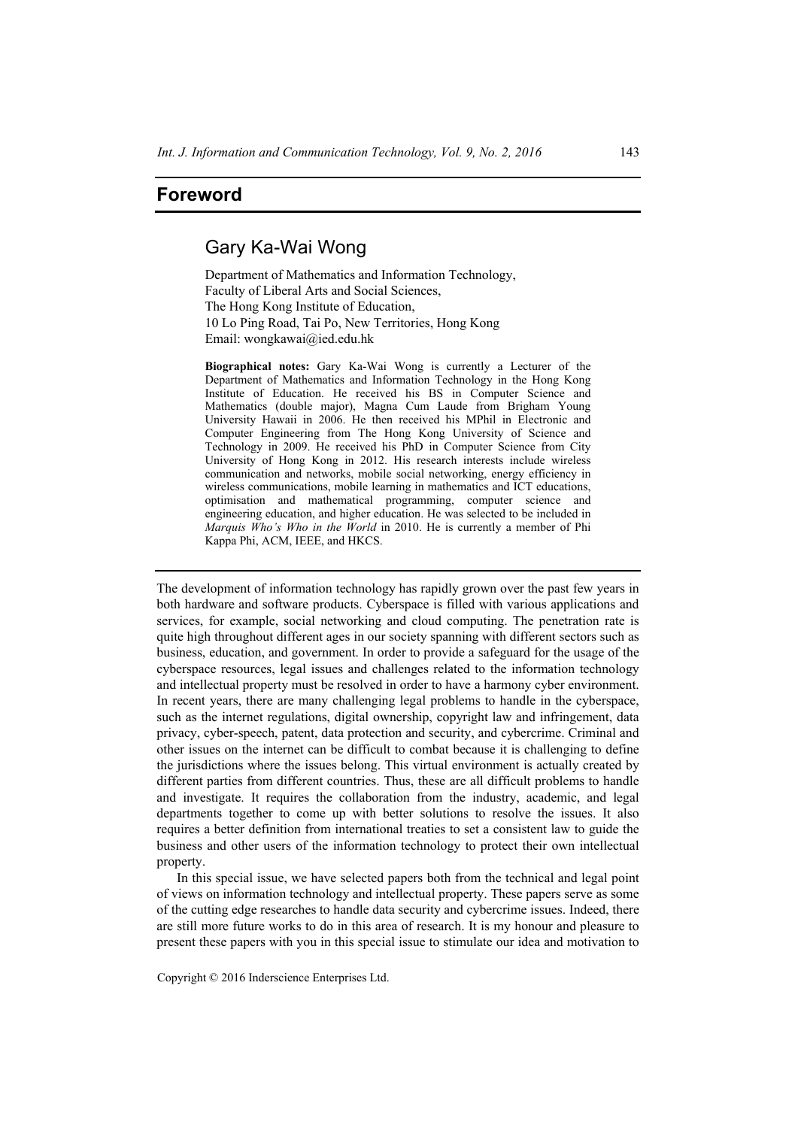## **Foreword**

## Gary Ka-Wai Wong

Department of Mathematics and Information Technology, Faculty of Liberal Arts and Social Sciences, The Hong Kong Institute of Education, 10 Lo Ping Road, Tai Po, New Territories, Hong Kong Email: wongkawai@ied.edu.hk

**Biographical notes:** Gary Ka-Wai Wong is currently a Lecturer of the Department of Mathematics and Information Technology in the Hong Kong Institute of Education. He received his BS in Computer Science and Mathematics (double major), Magna Cum Laude from Brigham Young University Hawaii in 2006. He then received his MPhil in Electronic and Computer Engineering from The Hong Kong University of Science and Technology in 2009. He received his PhD in Computer Science from City University of Hong Kong in 2012. His research interests include wireless communication and networks, mobile social networking, energy efficiency in wireless communications, mobile learning in mathematics and ICT educations, optimisation and mathematical programming, computer science and engineering education, and higher education. He was selected to be included in *Marquis Who's Who in the World* in 2010. He is currently a member of Phi Kappa Phi, ACM, IEEE, and HKCS.

The development of information technology has rapidly grown over the past few years in both hardware and software products. Cyberspace is filled with various applications and services, for example, social networking and cloud computing. The penetration rate is quite high throughout different ages in our society spanning with different sectors such as business, education, and government. In order to provide a safeguard for the usage of the cyberspace resources, legal issues and challenges related to the information technology and intellectual property must be resolved in order to have a harmony cyber environment. In recent years, there are many challenging legal problems to handle in the cyberspace, such as the internet regulations, digital ownership, copyright law and infringement, data privacy, cyber-speech, patent, data protection and security, and cybercrime. Criminal and other issues on the internet can be difficult to combat because it is challenging to define the jurisdictions where the issues belong. This virtual environment is actually created by different parties from different countries. Thus, these are all difficult problems to handle and investigate. It requires the collaboration from the industry, academic, and legal departments together to come up with better solutions to resolve the issues. It also requires a better definition from international treaties to set a consistent law to guide the business and other users of the information technology to protect their own intellectual property.

In this special issue, we have selected papers both from the technical and legal point of views on information technology and intellectual property. These papers serve as some of the cutting edge researches to handle data security and cybercrime issues. Indeed, there are still more future works to do in this area of research. It is my honour and pleasure to present these papers with you in this special issue to stimulate our idea and motivation to

Copyright © 2016 Inderscience Enterprises Ltd.